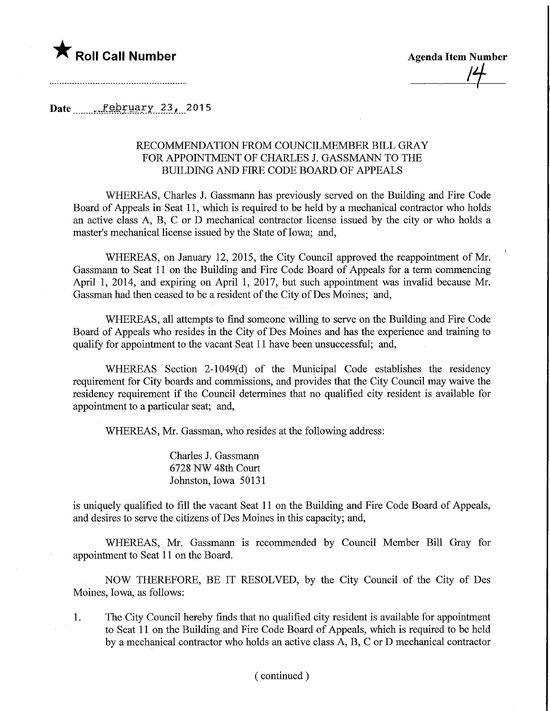

**Agenda Item Number** 

Date ...February 23, 2015

### RECOMMENDATION FROM COUNCILMEMBER BILL GRAY FOR APPOINTMENT OF CHARLES J. GASSMANN TO THE BUILDING AND FIRE CODE BOARD OF APPEALS

WHEREAS, Charles J. Gassmann has previously served on the Building and Fire Code Board of Appeals in Seat 11, which is required to be held by a mechanical contractor who holds an active class A, B, C or D mechanical contractor license issued by the city or who holds a master's mechanical license issued by the State of Iowa; and,

WHEREAS, on January 12, 2015, the City Council approved the reappointment of Mr. Gassmann to Seat 11 on the Building and Fire Code Board of Appeals for a term commencing April 1, 2014, and expiring on April 1, 2017, but such appointment was invalid because Mr. Gassman had then ceased to be a resident of the City of Des Moines; and,

WHEREAS, all attempts to find someone willing to serve on the Building and Fire Code Board of Appeals who resides in the City of Des Moines and has the experience and training to qualify for appointment to the vacant Seat 11 have been unsuccessful; and,

WHEREAS Section 2-1049(d) of the Municipal Code establishes the residency requirement for City boards and commissions, and provides that the City Council may waive the residency requirement if the Council determines that no qualified city resident is available for appointment to a particular seat; and,

WHEREAS, Mr. Gassman, who resides at the following address:

Charles J. Gassmami 6728 NW 48th Court Johnston, Iowa 50131

is uniquely qualified to fill the vacant Seat 11 on the Building and Fire Code Board of Appeals, and desires to serve the citizens of Des Moines in this capacity; and,

WHEREAS, Mr. Gassmann is recommended by Council Member Bill Gray for appointment to Seat 11 on the Board.

NOW THEREFORE, BE IT RESOLVED, by the City Council of the City of Des Moines, Iowa, as follows:

1. The City Council hereby finds that no qualified city resident is available for appointment to Seat 11 on the Building and Fire Code Board of Appeals, which is required to be held by a mechanical contractor who holds an active class A, B, C or D mechanical contractor

#### (continued)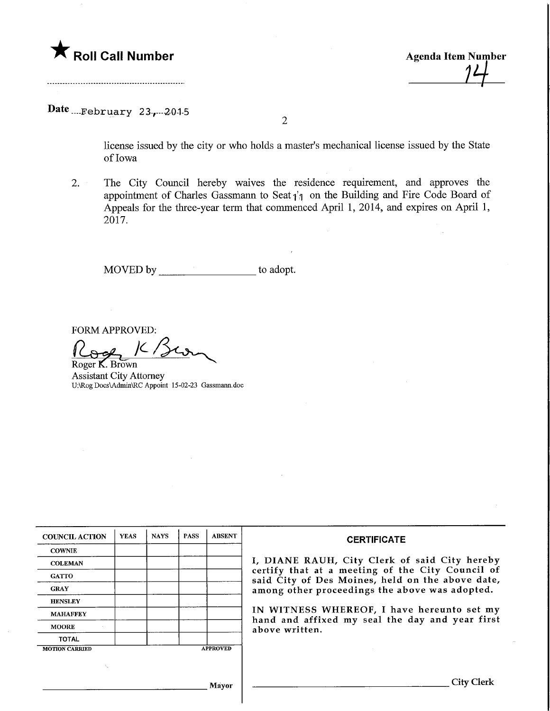

**Agenda Item Number** 

## Date  ${}_{\dots}$ February 23,  ${}_{\dots}$ 2015

 $\overline{2}$ 

license issued by the city or who holds a master's mechanical license issued by the State of Iowa

2. The City Council hereby waives the residence requirement, and approves the appointment of Charles Gassmann to Seat  $i<sub>i</sub>$  on the Building and Fire Code Board of Appeals for the three-year term that commenced April 1, 2014, and expires on April 1, 2017.

MOVED by \_\_\_\_\_\_\_\_\_\_\_\_\_\_\_\_\_\_\_\_\_\_ to adopt.

FORM APPROVED:

FORM APPROVED:<br>
Roger **K**. Brown Assistant City Attorney U:\Rog Docs\Admin\RC Appoint 15-02-23 Gassmann.doc

| <b>COUNCIL ACTION</b> | <b>YEAS</b> | <b>NAYS</b> | <b>PASS</b> | <b>ABSENT</b>   | <b>CERTIFICATE</b>                                                                                   |
|-----------------------|-------------|-------------|-------------|-----------------|------------------------------------------------------------------------------------------------------|
| <b>COWNIE</b>         |             |             |             |                 |                                                                                                      |
| <b>COLEMAN</b>        |             |             |             |                 | I, DIANE RAUH, City Clerk of said City hereby                                                        |
| <b>GATTO</b>          |             |             |             |                 | certify that at a meeting of the City Council of<br>said City of Des Moines, held on the above date, |
| <b>GRAY</b>           |             |             |             |                 | among other proceedings the above was adopted.                                                       |
| <b>HENSLEY</b>        |             |             |             |                 |                                                                                                      |
| <b>MAHAFFEY</b>       |             |             |             |                 | IN WITNESS WHEREOF, I have hereunto set my                                                           |
| <b>MOORE</b>          |             |             |             |                 | hand and affixed my seal the day and year first<br>above written.                                    |
| <b>TOTAL</b>          |             |             |             |                 |                                                                                                      |
| <b>MOTION CARRIED</b> |             |             |             | <b>APPROVED</b> |                                                                                                      |
|                       |             |             |             |                 |                                                                                                      |
|                       |             |             |             | Mayor           | City Cl                                                                                              |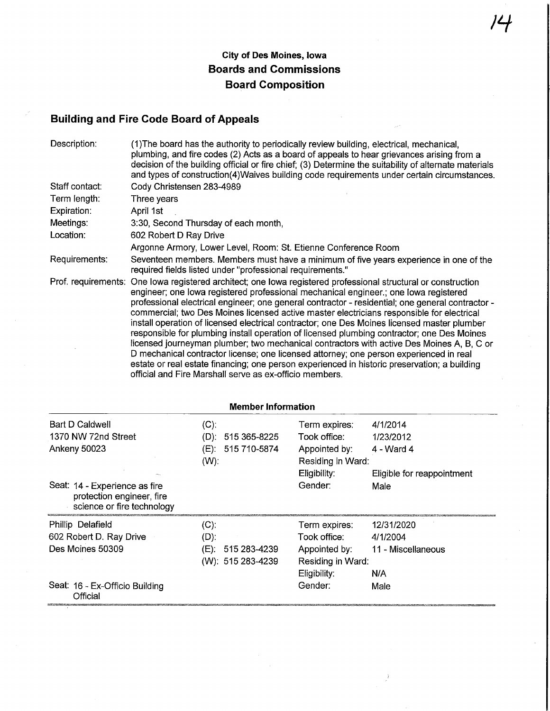## City of Des Moines, Iowa Boards and Commissions Board Composition

# Building and Fire Code Board of Appeals

| Description:   | (1) The board has the authority to periodically review building, electrical, mechanical,<br>plumbing, and fire codes (2) Acts as a board of appeals to hear grievances arising from a<br>decision of the building official or fire chief; (3) Determine the suitability of alternate materials<br>and types of construction(4) Waives building code requirements under certain circumstances.                                                                                                                                                                                                                                                                                                                                                                                                                                                                                                                                                          |
|----------------|--------------------------------------------------------------------------------------------------------------------------------------------------------------------------------------------------------------------------------------------------------------------------------------------------------------------------------------------------------------------------------------------------------------------------------------------------------------------------------------------------------------------------------------------------------------------------------------------------------------------------------------------------------------------------------------------------------------------------------------------------------------------------------------------------------------------------------------------------------------------------------------------------------------------------------------------------------|
| Staff contact: | Cody Christensen 283-4989                                                                                                                                                                                                                                                                                                                                                                                                                                                                                                                                                                                                                                                                                                                                                                                                                                                                                                                              |
| Term length:   | Three years                                                                                                                                                                                                                                                                                                                                                                                                                                                                                                                                                                                                                                                                                                                                                                                                                                                                                                                                            |
| Expiration:    | April 1st                                                                                                                                                                                                                                                                                                                                                                                                                                                                                                                                                                                                                                                                                                                                                                                                                                                                                                                                              |
| Meetings:      | 3:30, Second Thursday of each month,                                                                                                                                                                                                                                                                                                                                                                                                                                                                                                                                                                                                                                                                                                                                                                                                                                                                                                                   |
| Location:      | 602 Robert D Ray Drive                                                                                                                                                                                                                                                                                                                                                                                                                                                                                                                                                                                                                                                                                                                                                                                                                                                                                                                                 |
|                | Argonne Armory, Lower Level, Room: St. Etienne Conference Room                                                                                                                                                                                                                                                                                                                                                                                                                                                                                                                                                                                                                                                                                                                                                                                                                                                                                         |
| Requirements:  | Seventeen members. Members must have a minimum of five years experience in one of the<br>required fields listed under "professional requirements."                                                                                                                                                                                                                                                                                                                                                                                                                                                                                                                                                                                                                                                                                                                                                                                                     |
|                | Prof. requirements: One lowa registered architect; one lowa registered professional structural or construction<br>engineer; one lowa registered professional mechanical engineer.; one lowa registered<br>professional electrical engineer; one general contractor - residential; one general contractor -<br>commercial; two Des Moines licensed active master electricians responsible for electrical<br>install operation of licensed electrical contractor; one Des Moines licensed master plumber<br>responsible for plumbing install operation of licensed plumbing contractor; one Des Moines<br>licensed journeyman plumber; two mechanical contractors with active Des Moines A, B, C or<br>D mechanical contractor license; one licensed attorney; one person experienced in real<br>estate or real estate financing; one person experienced in historic preservation; a building<br>official and Fire Marshall serve as ex-officio members. |

| <b>Member Information</b>                                                                |                                                                    |                                                                                     |                                                                   |  |
|------------------------------------------------------------------------------------------|--------------------------------------------------------------------|-------------------------------------------------------------------------------------|-------------------------------------------------------------------|--|
| Bart D Caldwell<br>1370 NW 72nd Street<br><b>Ankeny 50023</b>                            | $(C)$ :<br>(D):<br>515 365-8225<br>515 710-5874<br>(E):<br>$(W)$ : | Term expires:<br>Took office:<br>Appointed by:<br>Residing in Ward:<br>Eligibility: | 4/1/2014<br>1/23/2012<br>4 - Ward 4<br>Eligible for reappointment |  |
| Seat: 14 - Experience as fire<br>protection engineer, fire<br>science or fire technology |                                                                    | Gender:                                                                             | Male                                                              |  |
| Phillip Delafield<br>602 Robert D. Ray Drive<br>Des Moines 50309                         | $(C)$ :<br>$(D)$ :<br>515 283-4239<br>(E):<br>(W): 515 283-4239    | Term expires:<br>Took office:<br>Appointed by:<br>Residing in Ward:<br>Eligibility: | 12/31/2020<br>4/1/2004<br>11 - Miscellaneous<br>N/A               |  |
| Seat: 16 - Ex-Officio Building<br>Official                                               |                                                                    | Gender:                                                                             | Male                                                              |  |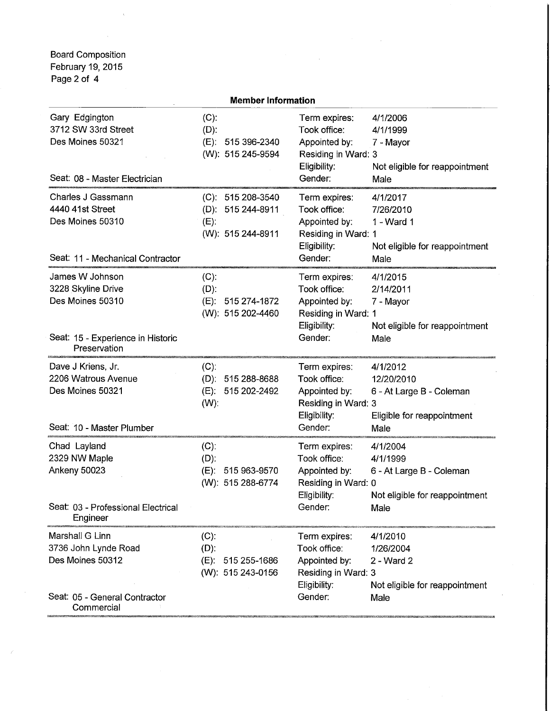Board Composition February 19,2015 Page 2 of 4

| <b>Member Information</b>                                                                                      |                                                                         |                                                                                                  |                                                                                            |  |  |
|----------------------------------------------------------------------------------------------------------------|-------------------------------------------------------------------------|--------------------------------------------------------------------------------------------------|--------------------------------------------------------------------------------------------|--|--|
| Gary Edgington<br>3712 SW 33rd Street<br>Des Moines 50321<br>Seat: 08 - Master Electrician                     | $(C)$ :<br>$(D)$ :<br>(E): 515 396-2340<br>(W): 515 245-9594            | Term expires:<br>Took office:<br>Appointed by:<br>Residing in Ward: 3<br>Eligibility:<br>Gender: | 4/1/2006<br>4/1/1999<br>7 - Mayor<br>Not eligible for reappointment<br>Male                |  |  |
| Charles J Gassmann<br>4440 41st Street<br>Des Moines 50310<br>Seat: 11 - Mechanical Contractor                 | $(C): 515208-3540$<br>(D): 515 244-8911<br>$(E)$ :<br>(W): 515 244-8911 | Term expires:<br>Took office:<br>Appointed by:<br>Residing in Ward: 1<br>Eligibility:<br>Gender: | 4/1/2017<br>7/26/2010<br>1 - Ward 1<br>Not eligible for reappointment<br>Male              |  |  |
| James W Johnson<br>3228 Skyline Drive<br>Des Moines 50310<br>Seat: 15 - Experience in Historic<br>Preservation | $(C)$ :<br>$(D)$ :<br>(E): 515 274-1872<br>(W): 515 202-4460            | Term expires:<br>Took office:<br>Appointed by:<br>Residing in Ward: 1<br>Eligibility:<br>Gender: | 4/1/2015<br>2/14/2011<br>7 - Mayor<br>Not eligible for reappointment<br>Male               |  |  |
| Dave J Kriens, Jr.<br>2206 Watrous Avenue<br>Des Moines 50321<br>Seat: 10 - Master Plumber                     | $(C)$ :<br>(D): 515 288-8688<br>(E): 515 202-2492<br>$(W)$ :            | Term expires:<br>Took office:<br>Appointed by:<br>Residing in Ward: 3<br>Eligibility:<br>Gender: | 4/1/2012<br>12/20/2010<br>6 - At Large B - Coleman<br>Eligible for reappointment<br>Male   |  |  |
| Chad Layland<br>2329 NW Maple<br><b>Ankeny 50023</b><br>Seat: 03 - Professional Electrical<br>Engineer         | $(C)$ :<br>$(D)$ :<br>515 963-9570<br>$(E)$ :<br>(W): 515 288-6774      | Term expires:<br>Took office:<br>Appointed by:<br>Residing in Ward: 0<br>Eligibility:<br>Gender: | 4/1/2004<br>4/1/1999<br>6 - At Large B - Coleman<br>Not eligible for reappointment<br>Male |  |  |
| Marshall G Linn<br>3736 John Lynde Road<br>Des Moines 50312<br>Seat: 05 - General Contractor<br>Commercial     | $(C)$ :<br>$(D)$ :<br>515 255-1686<br>(E):<br>(W): 515 243-0156         | Term expires:<br>Took office:<br>Appointed by:<br>Residing in Ward: 3<br>Eligibility:<br>Gender: | 4/1/2010<br>1/26/2004<br>2 - Ward 2<br>Not eligible for reappointment<br>Male              |  |  |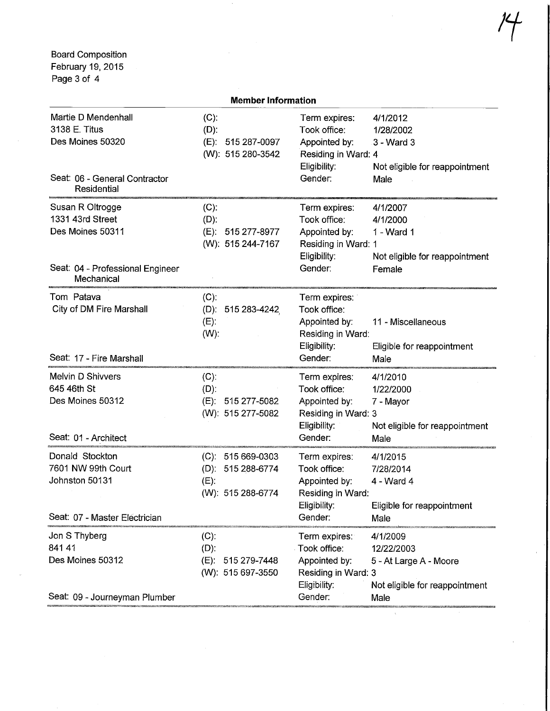Board Composition February 19, 2015 Page 3 of 4

| <b>Member Information</b>                                                                                  |                                                                         |                                                                                                  |                                                                                            |  |  |
|------------------------------------------------------------------------------------------------------------|-------------------------------------------------------------------------|--------------------------------------------------------------------------------------------------|--------------------------------------------------------------------------------------------|--|--|
| Martie D Mendenhall<br>3138 E. Titus<br>Des Moines 50320<br>Seat: 06 - General Contractor<br>Residential   | $(C)$ :<br>$(D)$ :<br>(E): 515 287-0097<br>(W): 515 280-3542            | Term expires:<br>Took office:<br>Appointed by:<br>Residing in Ward: 4<br>Eligibility:<br>Gender: | 4/1/2012<br>1/28/2002<br>3 - Ward 3<br>Not eligible for reappointment<br>Male              |  |  |
| Susan R Oltrogge<br>1331 43rd Street<br>Des Moines 50311<br>Seat: 04 - Professional Engineer<br>Mechanical | $(C)$ :<br>$(D)$ :<br>(E): 515 277-8977<br>(W): 515 244-7167            | Term expires:<br>Took office:<br>Appointed by:<br>Residing in Ward: 1<br>Eligibility:<br>Gender: | 4/1/2007<br>4/1/2000<br>1 - Ward 1<br>Not eligible for reappointment<br>Female             |  |  |
| Tom Patava<br>City of DM Fire Marshall<br>Seat: 17 - Fire Marshall                                         | $(C)$ :<br>(D): $515\,283 - 4242$<br>$(E)$ :<br>$(W)$ :                 | Term expires:<br>Took office:<br>Appointed by:<br>Residing in Ward:<br>Eligibility:<br>Gender:   | 11 - Miscellaneous<br>Eligible for reappointment<br>Male                                   |  |  |
| <b>Melvin D Shivvers</b><br>645 46th St<br>Des Moines 50312<br>Seat: 01 - Architect                        | $(C)$ :<br>$(D)$ :<br>(E): 515 277-5082<br>(W): 515 277-5082            | Term expires:<br>Took office:<br>Appointed by:<br>Residing in Ward: 3<br>Eligibility:<br>Gender: | 4/1/2010<br>1/22/2000<br>7 - Mayor<br>Not eligible for reappointment<br>Male               |  |  |
| Donald Stockton<br>7601 NW 99th Court<br>Johnston 50131<br>Seat: 07 - Master Electrician                   | $(C): 515669-0303$<br>(D): 515 288-6774<br>$(E)$ :<br>(W): 515 288-6774 | Term expires:<br>Took office:<br>Appointed by:<br>Residing in Ward:<br>Eligibility:<br>Gender:   | 4/1/2015<br>7/28/2014<br>4 - Ward 4<br>Eligible for reappointment<br>Male                  |  |  |
| Jon S Thyberg<br>841 41<br>Des Moines 50312<br>Seat: 09 - Journeyman Plumber                               | $(C)$ :<br>$(D)$ :<br>515 279-7448<br>(E):<br>(W): 515 697-3550         | Term expires:<br>Took office:<br>Appointed by:<br>Residing in Ward: 3<br>Eligibility:<br>Gender: | 4/1/2009<br>12/22/2003<br>5 - At Large A - Moore<br>Not eligible for reappointment<br>Male |  |  |

Member Information